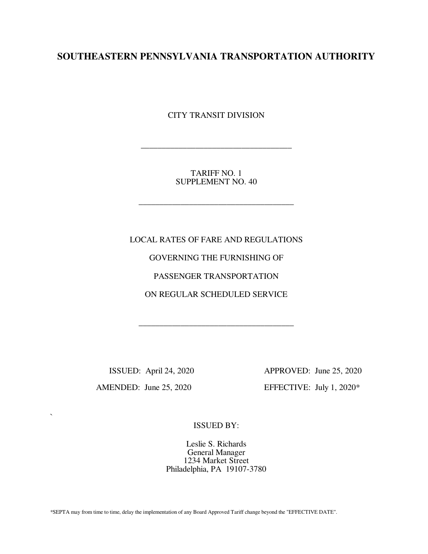# **SOUTHEASTERN PENNSYLVANIA TRANSPORTATION AUTHORITY**

CITY TRANSIT DIVISION

TARIFF NO. 1 SUPPLEMENT NO. 40

\_\_\_\_\_\_\_\_\_\_\_\_\_\_\_\_\_\_\_\_\_\_\_\_\_\_\_\_\_\_\_\_\_\_\_\_\_

\_\_\_\_\_\_\_\_\_\_\_\_\_\_\_\_\_\_\_\_\_\_\_\_\_\_\_\_\_\_\_\_\_\_\_\_

LOCAL RATES OF FARE AND REGULATIONS GOVERNING THE FURNISHING OF PASSENGER TRANSPORTATION ON REGULAR SCHEDULED SERVICE

\_\_\_\_\_\_\_\_\_\_\_\_\_\_\_\_\_\_\_\_\_\_\_\_\_\_\_\_\_\_\_\_\_\_\_\_\_

`

 ISSUED: April 24, 2020 APPROVED: June 25, 2020 AMENDED: June 25, 2020 EFFECTIVE: July 1, 2020\*

ISSUED BY:

Leslie S. Richards General Manager 1234 Market Street Philadelphia, PA 19107-3780

\*SEPTA may from time to time, delay the implementation of any Board Approved Tariff change beyond the "EFFECTIVE DATE".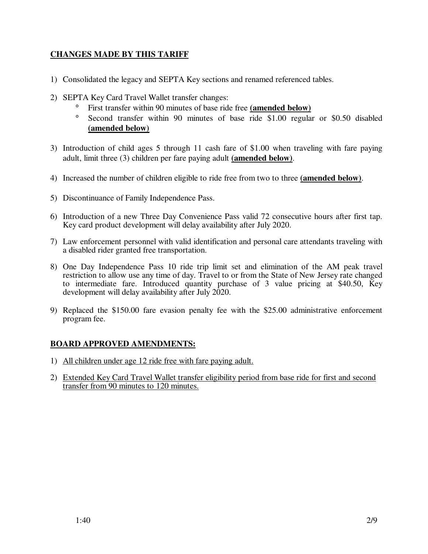# **CHANGES MADE BY THIS TARIFF**

- 1) Consolidated the legacy and SEPTA Key sections and renamed referenced tables.
- 2) SEPTA Key Card Travel Wallet transfer changes:
	- ° First transfer within 90 minutes of base ride free **(amended below)**
	- ° Second transfer within 90 minutes of base ride \$1.00 regular or \$0.50 disabled **(amended below)**
- 3) Introduction of child ages 5 through 11 cash fare of \$1.00 when traveling with fare paying adult, limit three (3) children per fare paying adult **(amended below)**.
- 4) Increased the number of children eligible to ride free from two to three **(amended below)**.
- 5) Discontinuance of Family Independence Pass.
- 6) Introduction of a new Three Day Convenience Pass valid 72 consecutive hours after first tap. Key card product development will delay availability after July 2020.
- 7) Law enforcement personnel with valid identification and personal care attendants traveling with a disabled rider granted free transportation.
- 8) One Day Independence Pass 10 ride trip limit set and elimination of the AM peak travel restriction to allow use any time of day. Travel to or from the State of New Jersey rate changed to intermediate fare. Introduced quantity purchase of 3 value pricing at \$40.50, Key development will delay availability after July 2020.
- 9) Replaced the \$150.00 fare evasion penalty fee with the \$25.00 administrative enforcement program fee.

# **BOARD APPROVED AMENDMENTS:**

- 1) All children under age 12 ride free with fare paying adult.
- 2) Extended Key Card Travel Wallet transfer eligibility period from base ride for first and second transfer from 90 minutes to 120 minutes.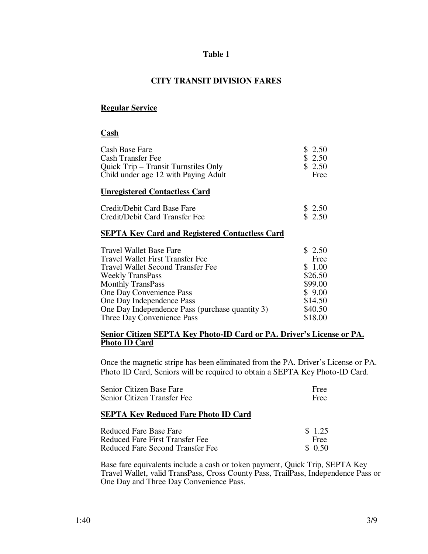## **Table 1**

# **CITY TRANSIT DIVISION FARES**

## **Regular Service**

#### **Cash**

| Cash Base Fare<br>Cash Transfer Fee<br>Quick Trip – Transit Turnstiles Only<br>Child under age 12 with Paying Adult | \$2.50<br>\$2.50<br>\$2.50<br>Free |
|---------------------------------------------------------------------------------------------------------------------|------------------------------------|
| <b>Unregistered Contactless Card</b>                                                                                |                                    |
| Credit/Debit Card Base Fare<br>Credit/Debit Card Transfer Fee                                                       | \$2.50<br>\$2.50                   |
| <b>SEPTA Key Card and Registered Contactless Card</b>                                                               |                                    |
| Travel Wallet Base Fare                                                                                             | \$2.50                             |
| Travel Wallet First Transfer Fee                                                                                    | Free                               |
| <b>Travel Wallet Second Transfer Fee</b>                                                                            | \$1.00                             |
| <b>Weekly TransPass</b>                                                                                             | \$26.50                            |
| <b>Monthly TransPass</b>                                                                                            | \$99.00                            |
| One Day Convenience Pass                                                                                            | \$9.00                             |
| One Day Independence Pass                                                                                           | \$14.50                            |
| One Day Independence Pass (purchase quantity 3)                                                                     | \$40.50                            |
| Three Day Convenience Pass                                                                                          | \$18.00                            |

#### **Senior Citizen SEPTA Key Photo-ID Card or PA. Driver's License or PA. Photo ID Card**

Once the magnetic stripe has been eliminated from the PA. Driver's License or PA. Photo ID Card, Seniors will be required to obtain a SEPTA Key Photo-ID Card.

| Senior Citizen Base Fare<br>Senior Citizen Transfer Fee | Free<br>Free |
|---------------------------------------------------------|--------------|
| <b>SEPTA Key Reduced Fare Photo ID Card</b>             |              |
| Reduced Fare Base Fare                                  | \$1.25       |
| Reduced Fare First Transfer Fee                         | Free         |
| Reduced Fare Second Transfer Fee                        | 0.50         |

Base fare equivalents include a cash or token payment, Quick Trip, SEPTA Key Travel Wallet, valid TransPass, Cross County Pass, TrailPass, Independence Pass or One Day and Three Day Convenience Pass.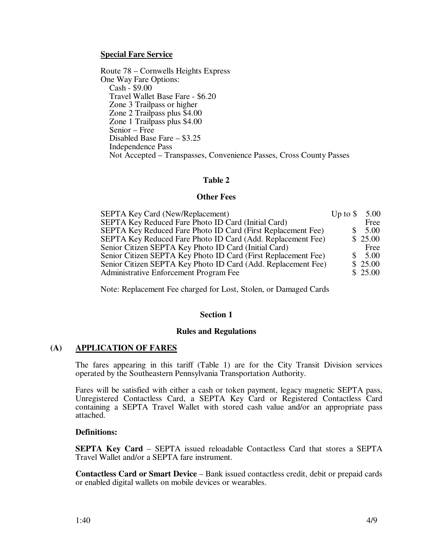### **Special Fare Service**

Route 78 – Cornwells Heights Express One Way Fare Options: Cash - \$9.00 Travel Wallet Base Fare - \$6.20 Zone 3 Trailpass or higher Zone 2 Trailpass plus \$4.00 Zone 1 Trailpass plus \$4.00 Senior – Free Disabled Base Fare – \$3.25 Independence Pass Not Accepted – Transpasses, Convenience Passes, Cross County Passes

### **Table 2**

#### **Other Fees**

| SEPTA Key Card (New/Replacement)                               | Up to $\$ | 5.00    |
|----------------------------------------------------------------|-----------|---------|
| SEPTA Key Reduced Fare Photo ID Card (Initial Card)            |           | Free    |
| SEPTA Key Reduced Fare Photo ID Card (First Replacement Fee)   |           | 5.00    |
| SEPTA Key Reduced Fare Photo ID Card (Add. Replacement Fee)    |           | \$25.00 |
| Senior Citizen SEPTA Key Photo ID Card (Initial Card)          |           | Free    |
| Senior Citizen SEPTA Key Photo ID Card (First Replacement Fee) |           | 5.00    |
| Senior Citizen SEPTA Key Photo ID Card (Add. Replacement Fee)  |           | \$25.00 |
| Administrative Enforcement Program Fee                         |           | \$25.00 |

Note: Replacement Fee charged for Lost, Stolen, or Damaged Cards

#### **Section 1**

#### **Rules and Regulations**

## **(A) APPLICATION OF FARES**

The fares appearing in this tariff (Table 1) are for the City Transit Division services operated by the Southeastern Pennsylvania Transportation Authority.

Fares will be satisfied with either a cash or token payment, legacy magnetic SEPTA pass, Unregistered Contactless Card, a SEPTA Key Card or Registered Contactless Card containing a SEPTA Travel Wallet with stored cash value and/or an appropriate pass attached.

#### **Definitions:**

**SEPTA Key Card** – SEPTA issued reloadable Contactless Card that stores a SEPTA Travel Wallet and/or a SEPTA fare instrument.

**Contactless Card or Smart Device** – Bank issued contactless credit, debit or prepaid cards or enabled digital wallets on mobile devices or wearables.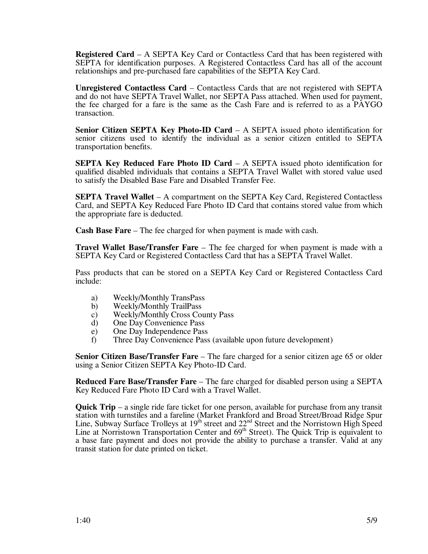**Registered Card** – A SEPTA Key Card or Contactless Card that has been registered with SEPTA for identification purposes. A Registered Contactless Card has all of the account relationships and pre-purchased fare capabilities of the SEPTA Key Card.

**Unregistered Contactless Card** – Contactless Cards that are not registered with SEPTA and do not have SEPTA Travel Wallet, nor SEPTA Pass attached. When used for payment, the fee charged for a fare is the same as the Cash Fare and is referred to as a PAYGO transaction.

**Senior Citizen SEPTA Key Photo-ID Card** – A SEPTA issued photo identification for senior citizens used to identify the individual as a senior citizen entitled to SEPTA transportation benefits.

**SEPTA Key Reduced Fare Photo ID Card** – A SEPTA issued photo identification for qualified disabled individuals that contains a SEPTA Travel Wallet with stored value used to satisfy the Disabled Base Fare and Disabled Transfer Fee.

**SEPTA Travel Wallet** – A compartment on the SEPTA Key Card, Registered Contactless Card, and SEPTA Key Reduced Fare Photo ID Card that contains stored value from which the appropriate fare is deducted.

**Cash Base Fare** – The fee charged for when payment is made with cash.

**Travel Wallet Base/Transfer Fare** – The fee charged for when payment is made with a SEPTA Key Card or Registered Contactless Card that has a SEPTA Travel Wallet.

Pass products that can be stored on a SEPTA Key Card or Registered Contactless Card include:

- a) Weekly/Monthly TransPass
- b) Weekly/Monthly TrailPass
- c) Weekly/Monthly Cross County Pass
- d) One Day Convenience Pass
- e) One Day Independence Pass
- f) Three Day Convenience Pass (available upon future development)

**Senior Citizen Base/Transfer Fare** – The fare charged for a senior citizen age 65 or older using a Senior Citizen SEPTA Key Photo-ID Card.

**Reduced Fare Base/Transfer Fare** – The fare charged for disabled person using a SEPTA Key Reduced Fare Photo ID Card with a Travel Wallet.

**Quick Trip** – a single ride fare ticket for one person, available for purchase from any transit station with turnstiles and a fareline (Market Frankford and Broad Street/Broad Ridge Spur Line, Subway Surface Trolleys at  $19<sup>th</sup>$  street and  $22<sup>nd</sup>$  Street and the Norristown High Speed Line at Norristown Transportation Center and 69<sup>th</sup> Street). The Quick Trip is equivalent to a base fare payment and does not provide the ability to purchase a transfer. Valid at any transit station for date printed on ticket.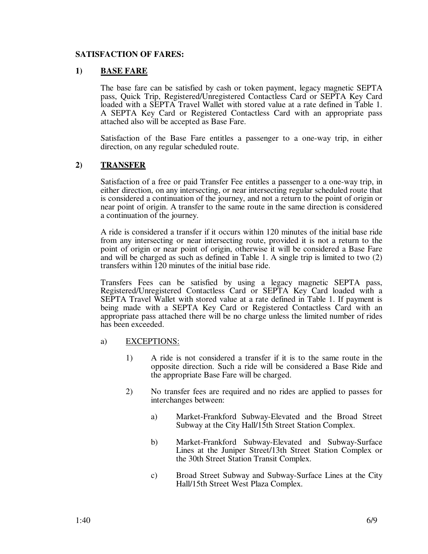## **SATISFACTION OF FARES:**

## **1) BASE FARE**

The base fare can be satisfied by cash or token payment, legacy magnetic SEPTA pass, Quick Trip, Registered/Unregistered Contactless Card or SEPTA Key Card loaded with a SEPTA Travel Wallet with stored value at a rate defined in Table 1. A SEPTA Key Card or Registered Contactless Card with an appropriate pass attached also will be accepted as Base Fare.

Satisfaction of the Base Fare entitles a passenger to a one-way trip, in either direction, on any regular scheduled route.

## **2) TRANSFER**

Satisfaction of a free or paid Transfer Fee entitles a passenger to a one-way trip, in either direction, on any intersecting, or near intersecting regular scheduled route that is considered a continuation of the journey, and not a return to the point of origin or near point of origin. A transfer to the same route in the same direction is considered a continuation of the journey.

 A ride is considered a transfer if it occurs within 120 minutes of the initial base ride from any intersecting or near intersecting route, provided it is not a return to the point of origin or near point of origin, otherwise it will be considered a Base Fare and will be charged as such as defined in Table 1. A single trip is limited to two (2) transfers within 120 minutes of the initial base ride.

Transfers Fees can be satisfied by using a legacy magnetic SEPTA pass, Registered/Unregistered Contactless Card or SEPTA Key Card loaded with a SEPTA Travel Wallet with stored value at a rate defined in Table 1. If payment is being made with a SEPTA Key Card or Registered Contactless Card with an appropriate pass attached there will be no charge unless the limited number of rides has been exceeded.

#### a) EXCEPTIONS:

- 1) A ride is not considered a transfer if it is to the same route in the opposite direction. Such a ride will be considered a Base Ride and the appropriate Base Fare will be charged.
- 2) No transfer fees are required and no rides are applied to passes for interchanges between:
	- a) Market-Frankford Subway-Elevated and the Broad Street Subway at the City Hall/15th Street Station Complex.
	- b) Market-Frankford Subway-Elevated and Subway-Surface Lines at the Juniper Street/13th Street Station Complex or the 30th Street Station Transit Complex.
	- c) Broad Street Subway and Subway-Surface Lines at the City Hall/15th Street West Plaza Complex.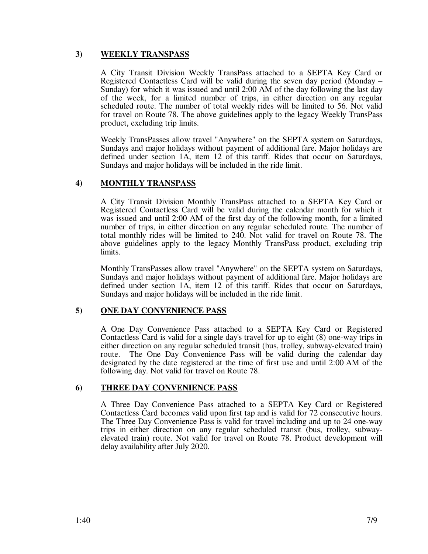# **3) WEEKLY TRANSPASS**

A City Transit Division Weekly TransPass attached to a SEPTA Key Card or Registered Contactless Card will be valid during the seven day period (Monday – Sunday) for which it was issued and until 2:00 AM of the day following the last day of the week, for a limited number of trips, in either direction on any regular scheduled route. The number of total weekly rides will be limited to 56. Not valid for travel on Route 78. The above guidelines apply to the legacy Weekly TransPass product, excluding trip limits.

Weekly TransPasses allow travel "Anywhere" on the SEPTA system on Saturdays, Sundays and major holidays without payment of additional fare. Major holidays are defined under section 1A, item 12 of this tariff. Rides that occur on Saturdays, Sundays and major holidays will be included in the ride limit.

# **4) MONTHLY TRANSPASS**

A City Transit Division Monthly TransPass attached to a SEPTA Key Card or Registered Contactless Card will be valid during the calendar month for which it was issued and until 2:00 AM of the first day of the following month, for a limited number of trips, in either direction on any regular scheduled route. The number of total monthly rides will be limited to 240. Not valid for travel on Route 78. The above guidelines apply to the legacy Monthly TransPass product, excluding trip limits.

Monthly TransPasses allow travel "Anywhere" on the SEPTA system on Saturdays, Sundays and major holidays without payment of additional fare. Major holidays are defined under section 1A, item 12 of this tariff. Rides that occur on Saturdays, Sundays and major holidays will be included in the ride limit.

# **5) ONE DAY CONVENIENCE PASS**

A One Day Convenience Pass attached to a SEPTA Key Card or Registered Contactless Card is valid for a single day's travel for up to eight (8) one-way trips in either direction on any regular scheduled transit (bus, trolley, subway-elevated train) route. The One Day Convenience Pass will be valid during the calendar day designated by the date registered at the time of first use and until 2:00 AM of the following day. Not valid for travel on Route 78.

## **6) THREE DAY CONVENIENCE PASS**

A Three Day Convenience Pass attached to a SEPTA Key Card or Registered Contactless Card becomes valid upon first tap and is valid for 72 consecutive hours. The Three Day Convenience Pass is valid for travel including and up to 24 one-way trips in either direction on any regular scheduled transit (bus, trolley, subwayelevated train) route. Not valid for travel on Route 78. Product development will delay availability after July 2020.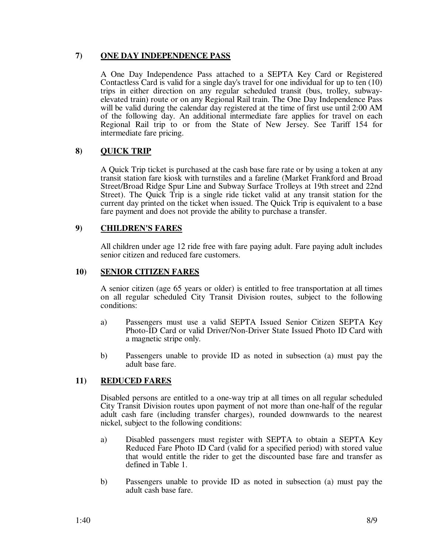# **7) ONE DAY INDEPENDENCE PASS**

A One Day Independence Pass attached to a SEPTA Key Card or Registered Contactless Card is valid for a single day's travel for one individual for up to ten (10) trips in either direction on any regular scheduled transit (bus, trolley, subwayelevated train) route or on any Regional Rail train. The One Day Independence Pass will be valid during the calendar day registered at the time of first use until 2:00 AM of the following day. An additional intermediate fare applies for travel on each Regional Rail trip to or from the State of New Jersey. See Tariff 154 for intermediate fare pricing.

# **8) QUICK TRIP**

A Quick Trip ticket is purchased at the cash base fare rate or by using a token at any transit station fare kiosk with turnstiles and a fareline (Market Frankford and Broad Street/Broad Ridge Spur Line and Subway Surface Trolleys at 19th street and 22nd Street). The Quick Trip is a single ride ticket valid at any transit station for the current day printed on the ticket when issued. The Quick Trip is equivalent to a base fare payment and does not provide the ability to purchase a transfer.

# **9) CHILDREN'S FARES**

All children under age 12 ride free with fare paying adult. Fare paying adult includes senior citizen and reduced fare customers.

## **10) SENIOR CITIZEN FARES**

A senior citizen (age 65 years or older) is entitled to free transportation at all times on all regular scheduled City Transit Division routes, subject to the following conditions:

- a) Passengers must use a valid SEPTA Issued Senior Citizen SEPTA Key Photo-ID Card or valid Driver/Non-Driver State Issued Photo ID Card with a magnetic stripe only.
- b) Passengers unable to provide ID as noted in subsection (a) must pay the adult base fare.

## **11) REDUCED FARES**

Disabled persons are entitled to a one-way trip at all times on all regular scheduled City Transit Division routes upon payment of not more than one-half of the regular adult cash fare (including transfer charges), rounded downwards to the nearest nickel, subject to the following conditions:

- a) Disabled passengers must register with SEPTA to obtain a SEPTA Key Reduced Fare Photo ID Card (valid for a specified period) with stored value that would entitle the rider to get the discounted base fare and transfer as defined in Table 1.
- b) Passengers unable to provide ID as noted in subsection (a) must pay the adult cash base fare.